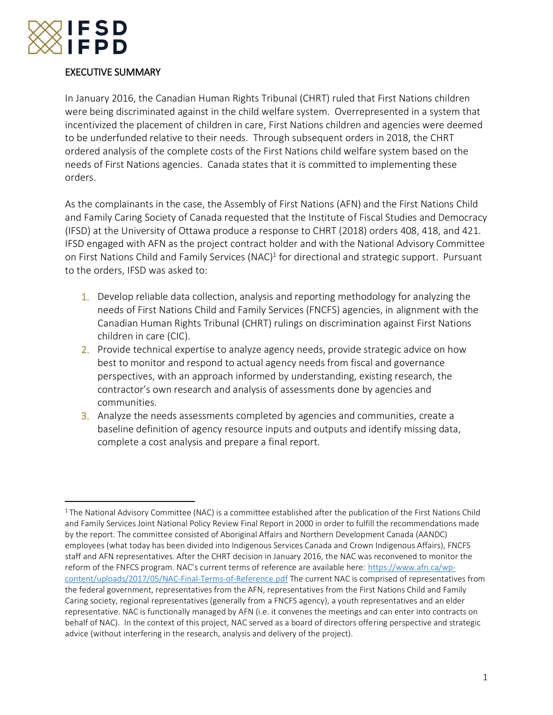

 $\overline{a}$ 

# EXECUTIVE SUMMARY

In January 2016, the Canadian Human Rights Tribunal (CHRT) ruled that First Nations children were being discriminated against in the child welfare system. Overrepresented in a system that incentivized the placement of children in care, First Nations children and agencies were deemed to be underfunded relative to their needs. Through subsequent orders in 2018, the CHRT ordered analysis of the complete costs of the First Nations child welfare system based on the needs of First Nations agencies. Canada states that it is committed to implementing these orders.

As the complainants in the case, the Assembly of First Nations (AFN) and the First Nations Child and Family Caring Society of Canada requested that the Institute of Fiscal Studies and Democracy (IFSD) at the University of Ottawa produce a response to CHRT (2018) orders 408, 418, and 421. IFSD engaged with AFN as the project contract holder and with the National Advisory Committee on First Nations Child and Family Services (NAC)<sup>1</sup> for directional and strategic support. Pursuant to the orders, IFSD was asked to:

- 1. Develop reliable data collection, analysis and reporting methodology for analyzing the needs of First Nations Child and Family Services (FNCFS) agencies, in alignment with the Canadian Human Rights Tribunal (CHRT) rulings on discrimination against First Nations children in care (CIC).
- 2. Provide technical expertise to analyze agency needs, provide strategic advice on how best to monitor and respond to actual agency needs from fiscal and governance perspectives, with an approach informed by understanding, existing research, the contractor's own research and analysis of assessments done by agencies and communities.
- 3. Analyze the needs assessments completed by agencies and communities, create a baseline definition of agency resource inputs and outputs and identify missing data, complete a cost analysis and prepare a final report.

<sup>&</sup>lt;sup>1</sup> The National Advisory Committee (NAC) is a committee established after the publication of the First Nations Child and Family Services Joint National Policy Review Final Report in 2000 in order to fulfill the recommendations made by the report. The committee consisted of Aboriginal Affairs and Northern Development Canada (AANDC) employees (what today has been divided into Indigenous Services Canada and Crown Indigenous Affairs), FNCFS staff and AFN representatives. After the CHRT decision in January 2016, the NAC was reconvened to monitor the reform of the FNFCS program. NAC's current terms of reference are available here: [https://www.afn.ca/wp](https://www.afn.ca/wp-content/uploads/2017/05/NAC-Final-Terms-of-Reference.pdf)[content/uploads/2017/05/NAC-Final-Terms-of-Reference.pdf](https://www.afn.ca/wp-content/uploads/2017/05/NAC-Final-Terms-of-Reference.pdf) The current NAC is comprised of representatives from the federal government, representatives from the AFN, representatives from the First Nations Child and Family Caring society, regional representatives (generally from a FNCFS agency), a youth representatives and an elder representative. NAC is functionally managed by AFN (i.e. it convenes the meetings and can enter into contracts on behalf of NAC). In the context of this project, NAC served as a board of directors offering perspective and strategic advice (without interfering in the research, analysis and delivery of the project).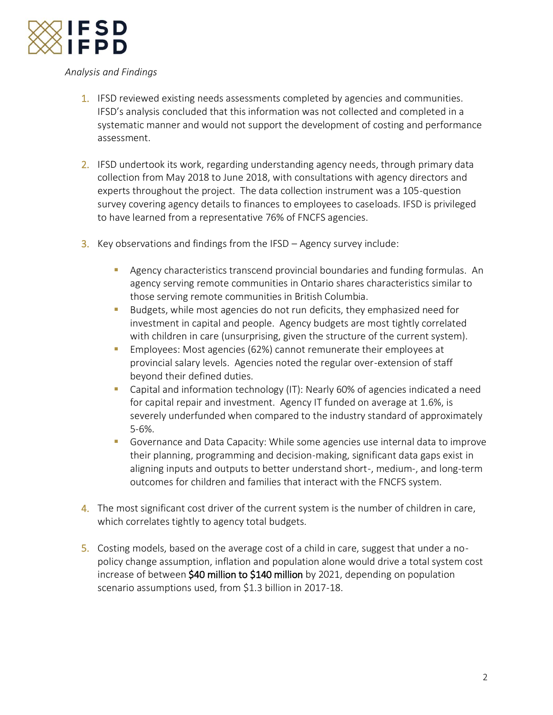

# *Analysis and Findings*

- 1. IFSD reviewed existing needs assessments completed by agencies and communities. IFSD's analysis concluded that this information was not collected and completed in a systematic manner and would not support the development of costing and performance assessment.
- 2. IFSD undertook its work, regarding understanding agency needs, through primary data collection from May 2018 to June 2018, with consultations with agency directors and experts throughout the project. The data collection instrument was a 105-question survey covering agency details to finances to employees to caseloads. IFSD is privileged to have learned from a representative 76% of FNCFS agencies.
- **3.** Key observations and findings from the IFSD  $-$  Agency survey include:
	- **E** Agency characteristics transcend provincial boundaries and funding formulas. An agency serving remote communities in Ontario shares characteristics similar to those serving remote communities in British Columbia.
	- Budgets, while most agencies do not run deficits, they emphasized need for investment in capital and people. Agency budgets are most tightly correlated with children in care (unsurprising, given the structure of the current system).
	- Employees: Most agencies (62%) cannot remunerate their employees at provincial salary levels. Agencies noted the regular over-extension of staff beyond their defined duties.
	- Capital and information technology (IT): Nearly 60% of agencies indicated a need for capital repair and investment. Agency IT funded on average at 1.6%, is severely underfunded when compared to the industry standard of approximately 5-6%.
	- Governance and Data Capacity: While some agencies use internal data to improve their planning, programming and decision-making, significant data gaps exist in aligning inputs and outputs to better understand short-, medium-, and long-term outcomes for children and families that interact with the FNCFS system.
- 4. The most significant cost driver of the current system is the number of children in care, which correlates tightly to agency total budgets.
- 5. Costing models, based on the average cost of a child in care, suggest that under a nopolicy change assumption, inflation and population alone would drive a total system cost increase of between \$40 million to \$140 million by 2021, depending on population scenario assumptions used, from \$1.3 billion in 2017-18.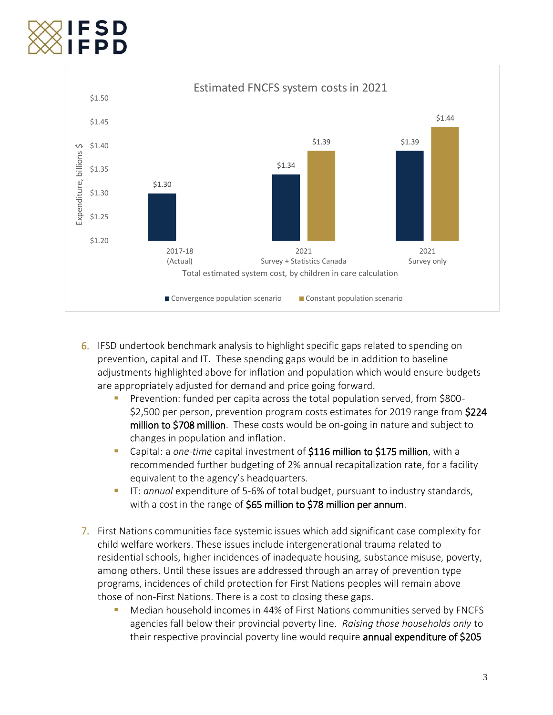

- 6. IFSD undertook benchmark analysis to highlight specific gaps related to spending on prevention, capital and IT. These spending gaps would be in addition to baseline adjustments highlighted above for inflation and population which would ensure budgets are appropriately adjusted for demand and price going forward.
	- Prevention: funded per capita across the total population served, from \$800-\$2,500 per person, prevention program costs estimates for 2019 range from \$224 million to \$708 million. These costs would be on-going in nature and subject to changes in population and inflation.
	- Capital: a *one-time* capital investment of \$116 million to \$175 million, with a recommended further budgeting of 2% annual recapitalization rate, for a facility equivalent to the agency's headquarters.
	- IT: *annual* expenditure of 5-6% of total budget, pursuant to industry standards, with a cost in the range of \$65 million to \$78 million per annum.
- 7. First Nations communities face systemic issues which add significant case complexity for child welfare workers. These issues include intergenerational trauma related to residential schools, higher incidences of inadequate housing, substance misuse, poverty, among others. Until these issues are addressed through an array of prevention type programs, incidences of child protection for First Nations peoples will remain above those of non-First Nations. There is a cost to closing these gaps.
	- Median household incomes in 44% of First Nations communities served by FNCFS agencies fall below their provincial poverty line. *Raising those households only* to their respective provincial poverty line would require annual expenditure of \$205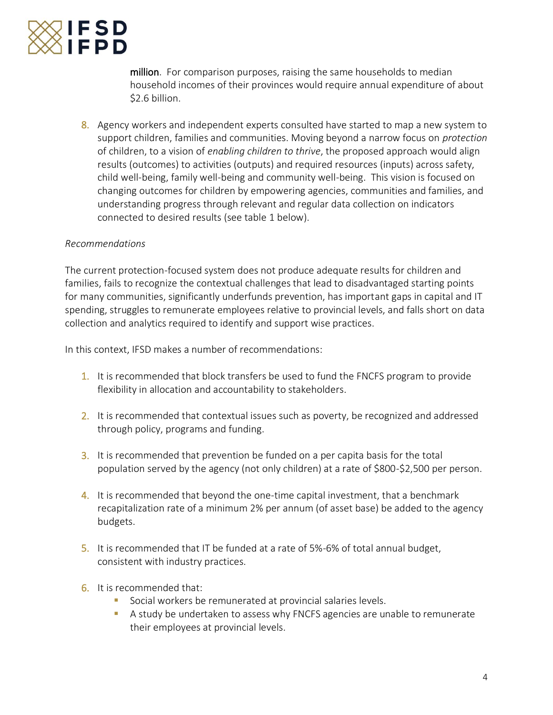

million. For comparison purposes, raising the same households to median household incomes of their provinces would require annual expenditure of about \$2.6 billion.

8. Agency workers and independent experts consulted have started to map a new system to support children, families and communities. Moving beyond a narrow focus on *protection* of children, to a vision of *enabling children to thrive*, the proposed approach would align results (outcomes) to activities (outputs) and required resources (inputs) across safety, child well-being, family well-being and community well-being. This vision is focused on changing outcomes for children by empowering agencies, communities and families, and understanding progress through relevant and regular data collection on indicators connected to desired results (see table 1 below).

### *Recommendations*

The current protection-focused system does not produce adequate results for children and families, fails to recognize the contextual challenges that lead to disadvantaged starting points for many communities, significantly underfunds prevention, has important gaps in capital and IT spending, struggles to remunerate employees relative to provincial levels, and falls short on data collection and analytics required to identify and support wise practices.

In this context, IFSD makes a number of recommendations:

- 1. It is recommended that block transfers be used to fund the FNCFS program to provide flexibility in allocation and accountability to stakeholders.
- 2. It is recommended that contextual issues such as poverty, be recognized and addressed through policy, programs and funding.
- 3. It is recommended that prevention be funded on a per capita basis for the total population served by the agency (not only children) at a rate of \$800-\$2,500 per person.
- 4. It is recommended that beyond the one-time capital investment, that a benchmark recapitalization rate of a minimum 2% per annum (of asset base) be added to the agency budgets.
- 5. It is recommended that IT be funded at a rate of 5%-6% of total annual budget, consistent with industry practices.
- 6. It is recommended that:
	- Social workers be remunerated at provincial salaries levels.
	- A study be undertaken to assess why FNCFS agencies are unable to remunerate their employees at provincial levels.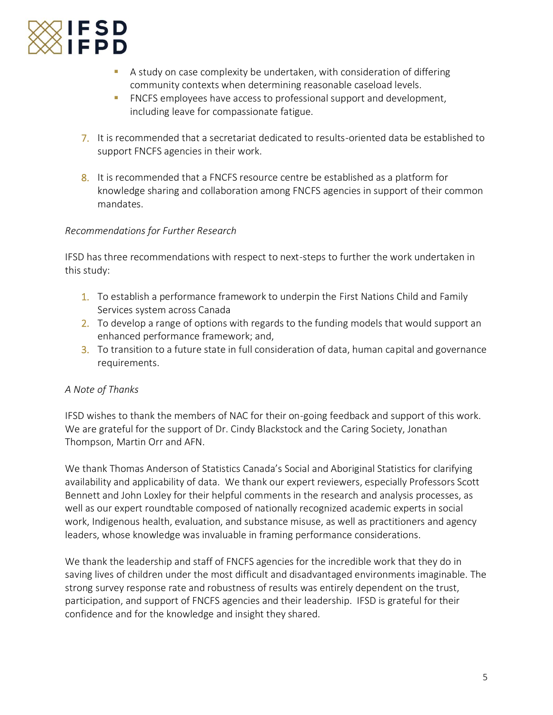

- **EXT** A study on case complexity be undertaken, with consideration of differing community contexts when determining reasonable caseload levels.
- FNCFS employees have access to professional support and development, including leave for compassionate fatigue.
- 7. It is recommended that a secretariat dedicated to results-oriented data be established to support FNCFS agencies in their work.
- 8. It is recommended that a FNCFS resource centre be established as a platform for knowledge sharing and collaboration among FNCFS agencies in support of their common mandates.

# *Recommendations for Further Research*

IFSD has three recommendations with respect to next-steps to further the work undertaken in this study:

- 1. To establish a performance framework to underpin the First Nations Child and Family Services system across Canada
- 2. To develop a range of options with regards to the funding models that would support an enhanced performance framework; and,
- 3. To transition to a future state in full consideration of data, human capital and governance requirements.

# *A Note of Thanks*

IFSD wishes to thank the members of NAC for their on-going feedback and support of this work. We are grateful for the support of Dr. Cindy Blackstock and the Caring Society, Jonathan Thompson, Martin Orr and AFN.

We thank Thomas Anderson of Statistics Canada's Social and Aboriginal Statistics for clarifying availability and applicability of data. We thank our expert reviewers, especially Professors Scott Bennett and John Loxley for their helpful comments in the research and analysis processes, as well as our expert roundtable composed of nationally recognized academic experts in social work, Indigenous health, evaluation, and substance misuse, as well as practitioners and agency leaders, whose knowledge was invaluable in framing performance considerations.

We thank the leadership and staff of FNCFS agencies for the incredible work that they do in saving lives of children under the most difficult and disadvantaged environments imaginable. The strong survey response rate and robustness of results was entirely dependent on the trust, participation, and support of FNCFS agencies and their leadership. IFSD is grateful for their confidence and for the knowledge and insight they shared.